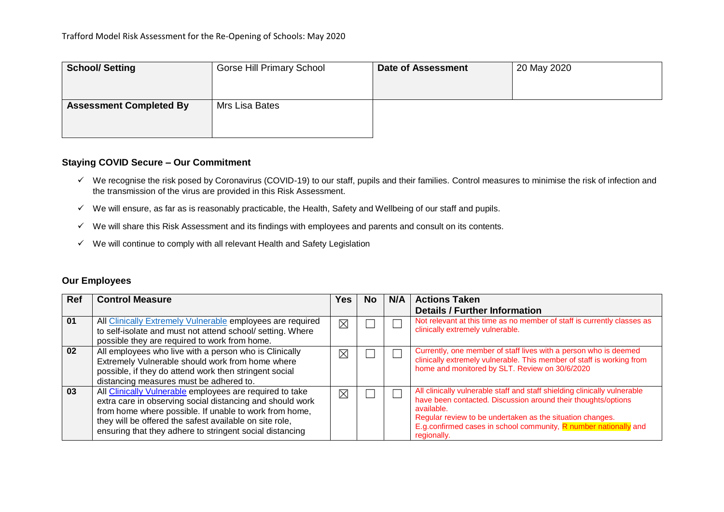| <b>School/Setting</b>          | <b>Gorse Hill Primary School</b> | <b>Date of Assessment</b> | 20 May 2020 |
|--------------------------------|----------------------------------|---------------------------|-------------|
| <b>Assessment Completed By</b> | Mrs Lisa Bates                   |                           |             |

### **Staying COVID Secure – Our Commitment**

- $\checkmark$  We recognise the risk posed by Coronavirus (COVID-19) to our staff, pupils and their families. Control measures to minimise the risk of infection and the transmission of the virus are provided in this Risk Assessment.
- $\checkmark$  We will ensure, as far as is reasonably practicable, the Health, Safety and Wellbeing of our staff and pupils.
- $\checkmark$  We will share this Risk Assessment and its findings with employees and parents and consult on its contents.
- $\checkmark$  We will continue to comply with all relevant Health and Safety Legislation

## **Our Employees**

| <b>Ref</b> | <b>Control Measure</b>                                                                                                                                                                                                                                                                                 | 'es         | <b>No</b> | N/A | <b>Actions Taken</b>                                                                                                                                                                                                                                                                                      |
|------------|--------------------------------------------------------------------------------------------------------------------------------------------------------------------------------------------------------------------------------------------------------------------------------------------------------|-------------|-----------|-----|-----------------------------------------------------------------------------------------------------------------------------------------------------------------------------------------------------------------------------------------------------------------------------------------------------------|
|            |                                                                                                                                                                                                                                                                                                        |             |           |     | <b>Details / Further Information</b>                                                                                                                                                                                                                                                                      |
| 01         | All Clinically Extremely Vulnerable employees are required<br>to self-isolate and must not attend school/ setting. Where<br>possible they are required to work from home.                                                                                                                              | ⊠           |           |     | Not relevant at this time as no member of staff is currently classes as<br>clinically extremely vulnerable.                                                                                                                                                                                               |
| 02         | All employees who live with a person who is Clinically<br>Extremely Vulnerable should work from home where<br>possible, if they do attend work then stringent social<br>distancing measures must be adhered to.                                                                                        | ⊠           |           |     | Currently, one member of staff lives with a person who is deemed<br>clinically extremely vulnerable. This member of staff is working from<br>home and monitored by SLT. Review on 30/6/2020                                                                                                               |
| 03         | All Clinically Vulnerable employees are required to take<br>extra care in observing social distancing and should work<br>from home where possible. If unable to work from home,<br>they will be offered the safest available on site role,<br>ensuring that they adhere to stringent social distancing | $\boxtimes$ |           |     | All clinically vulnerable staff and staff shielding clinically vulnerable<br>have been contacted. Discussion around their thoughts/options<br>available.<br>Regular review to be undertaken as the situation changes.<br>E.g. confirmed cases in school community, R number nationally and<br>regionally. |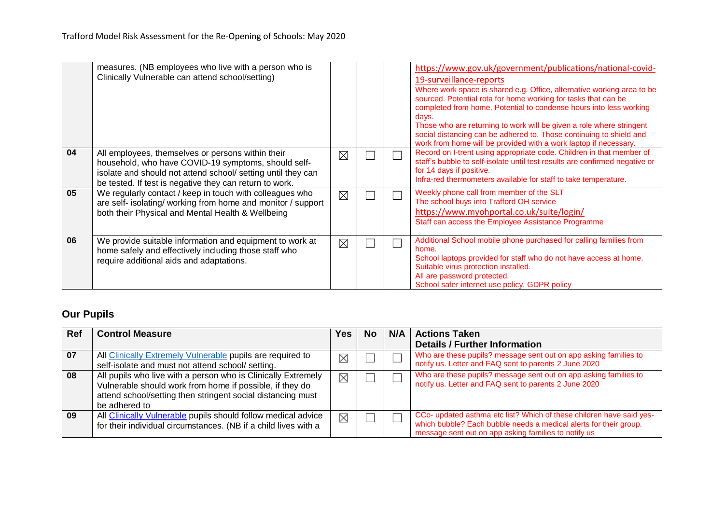|    | measures. (NB employees who live with a person who is<br>Clinically Vulnerable can attend school/setting)                                                                                                                           |             |  | https://www.gov.uk/government/publications/national-covid-<br>19-surveillance-reports<br>Where work space is shared e.g. Office, alternative working area to be<br>sourced. Potential rota for home working for tasks that can be<br>completed from home. Potential to condense hours into less working<br>days.<br>Those who are returning to work will be given a role where stringent<br>social distancing can be adhered to. Those continuing to shield and<br>work from home will be provided with a work laptop if necessary. |
|----|-------------------------------------------------------------------------------------------------------------------------------------------------------------------------------------------------------------------------------------|-------------|--|-------------------------------------------------------------------------------------------------------------------------------------------------------------------------------------------------------------------------------------------------------------------------------------------------------------------------------------------------------------------------------------------------------------------------------------------------------------------------------------------------------------------------------------|
| 04 | All employees, themselves or persons within their<br>household, who have COVID-19 symptoms, should self-<br>isolate and should not attend school/ setting until they can<br>be tested. If test is negative they can return to work. | $\times$    |  | Record on I-trent using appropriate code. Children in that member of<br>staff's bubble to self-isolate until test results are confirmed negative or<br>for 14 days if positive.<br>Infra-red thermometers available for staff to take temperature.                                                                                                                                                                                                                                                                                  |
| 05 | We regularly contact / keep in touch with colleagues who<br>are self- isolating/ working from home and monitor / support<br>both their Physical and Mental Health & Wellbeing                                                       | $\boxtimes$ |  | Weekly phone call from member of the SLT<br>The school buys into Trafford OH service<br>https://www.myohportal.co.uk/suite/login/<br>Staff can access the Employee Assistance Programme                                                                                                                                                                                                                                                                                                                                             |
| 06 | We provide suitable information and equipment to work at<br>home safely and effectively including those staff who<br>require additional aids and adaptations.                                                                       | $\boxtimes$ |  | Additional School mobile phone purchased for calling families from<br>home.<br>School laptops provided for staff who do not have access at home.<br>Suitable virus protection installed.<br>All are password protected.<br>School safer internet use policy, GDPR policy                                                                                                                                                                                                                                                            |

# **Our Pupils**

| <b>Ref</b> | <b>Control Measure</b>                                                                                                                                                                                    | Yes.        | <b>No</b> | N/A | <b>Actions Taken</b>                                                                                                                                                                              |
|------------|-----------------------------------------------------------------------------------------------------------------------------------------------------------------------------------------------------------|-------------|-----------|-----|---------------------------------------------------------------------------------------------------------------------------------------------------------------------------------------------------|
|            |                                                                                                                                                                                                           |             |           |     | <b>Details / Further Information</b>                                                                                                                                                              |
| 07         | All Clinically Extremely Vulnerable pupils are required to<br>self-isolate and must not attend school/ setting.                                                                                           | $\boxtimes$ |           |     | Who are these pupils? message sent out on app asking families to<br>notify us. Letter and FAQ sent to parents 2 June 2020                                                                         |
| 08         | All pupils who live with a person who is Clinically Extremely<br>Vulnerable should work from home if possible, if they do<br>attend school/setting then stringent social distancing must<br>be adhered to | ⊠           |           |     | Who are these pupils? message sent out on app asking families to<br>notify us. Letter and FAQ sent to parents 2 June 2020                                                                         |
| 09         | All Clinically Vulnerable pupils should follow medical advice<br>for their individual circumstances. (NB if a child lives with a                                                                          | $\boxtimes$ |           |     | CCo- updated asthma etc list? Which of these children have said yes-<br>which bubble? Each bubble needs a medical alerts for their group.<br>message sent out on app asking families to notify us |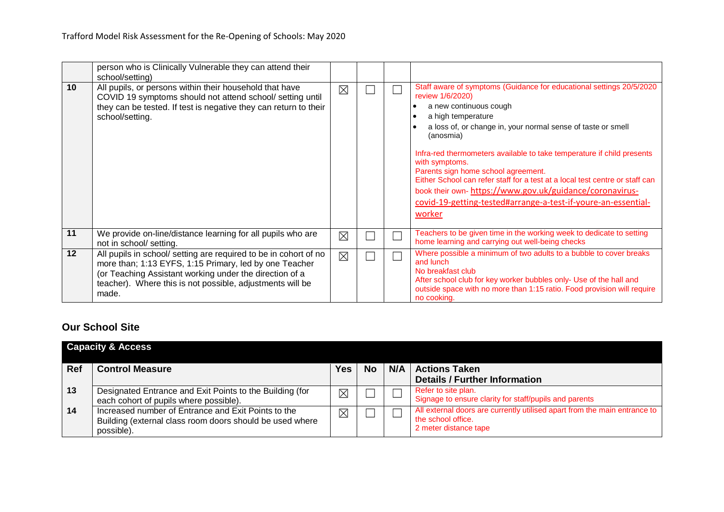|    | person who is Clinically Vulnerable they can attend their<br>school/setting)                                                                                                                                                                                |             |  |                                                                                                                                                                                                                                                                                                                                                                                                                                                                                                                                                                                 |
|----|-------------------------------------------------------------------------------------------------------------------------------------------------------------------------------------------------------------------------------------------------------------|-------------|--|---------------------------------------------------------------------------------------------------------------------------------------------------------------------------------------------------------------------------------------------------------------------------------------------------------------------------------------------------------------------------------------------------------------------------------------------------------------------------------------------------------------------------------------------------------------------------------|
| 10 | All pupils, or persons within their household that have<br>COVID 19 symptoms should not attend school/ setting until<br>they can be tested. If test is negative they can return to their<br>school/setting.                                                 | $\boxtimes$ |  | Staff aware of symptoms (Guidance for educational settings 20/5/2020<br>review 1/6/2020)<br>a new continuous cough<br>a high temperature<br>a loss of, or change in, your normal sense of taste or smell<br>(anosmia)<br>Infra-red thermometers available to take temperature if child presents<br>with symptoms.<br>Parents sign home school agreement.<br>Either School can refer staff for a test at a local test centre or staff can<br>book their own- https://www.gov.uk/guidance/coronavirus-<br>covid-19-getting-tested#arrange-a-test-if-youre-an-essential-<br>worker |
| 11 | We provide on-line/distance learning for all pupils who are<br>not in school/ setting.                                                                                                                                                                      | $\times$    |  | Teachers to be given time in the working week to dedicate to setting<br>home learning and carrying out well-being checks                                                                                                                                                                                                                                                                                                                                                                                                                                                        |
| 12 | All pupils in school/ setting are required to be in cohort of no<br>more than; 1:13 EYFS, 1:15 Primary, led by one Teacher<br>(or Teaching Assistant working under the direction of a<br>teacher). Where this is not possible, adjustments will be<br>made. | $\boxtimes$ |  | Where possible a minimum of two adults to a bubble to cover breaks<br>and lunch<br>No breakfast club<br>After school club for key worker bubbles only- Use of the hall and<br>outside space with no more than 1:15 ratio. Food provision will require<br>no cooking.                                                                                                                                                                                                                                                                                                            |

# **Our School Site**

|            | <b>Capacity &amp; Access</b>                                                                                                  |     |           |                                                                                                                          |
|------------|-------------------------------------------------------------------------------------------------------------------------------|-----|-----------|--------------------------------------------------------------------------------------------------------------------------|
| <b>Ref</b> | <b>Control Measure</b>                                                                                                        | Yes | <b>No</b> | N/A   Actions Taken<br><b>Details / Further Information</b>                                                              |
| 13         | Designated Entrance and Exit Points to the Building (for<br>each cohort of pupils where possible).                            | Χ   |           | Refer to site plan.<br>Signage to ensure clarity for staff/pupils and parents                                            |
| 14         | Increased number of Entrance and Exit Points to the<br>Building (external class room doors should be used where<br>possible). | Χ   |           | All external doors are currently utilised apart from the main entrance to<br>the school office.<br>2 meter distance tape |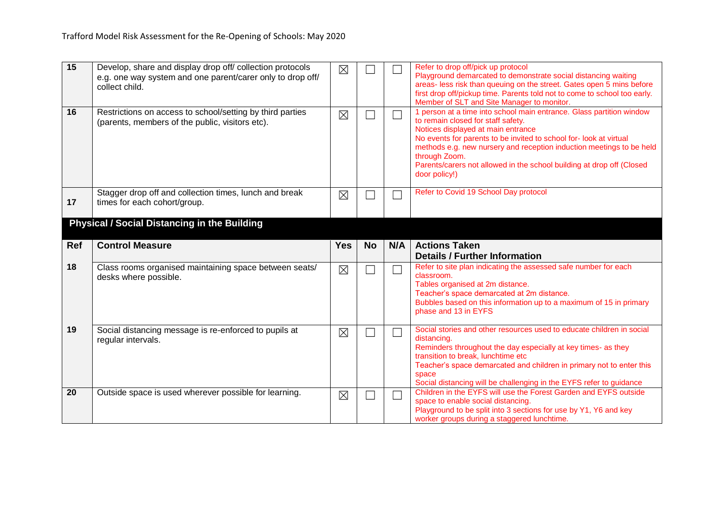| 15<br>16 | Develop, share and display drop off/ collection protocols<br>e.g. one way system and one parent/carer only to drop off/<br>collect child.<br>Restrictions on access to school/setting by third parties<br>(parents, members of the public, visitors etc). | $\times$<br>$\times$ |           | $\Box$                   | Refer to drop off/pick up protocol<br>Playground demarcated to demonstrate social distancing waiting<br>areas- less risk than queuing on the street. Gates open 5 mins before<br>first drop off/pickup time. Parents told not to come to school too early.<br>Member of SLT and Site Manager to monitor.<br>1 person at a time into school main entrance. Glass partition window<br>to remain closed for staff safety.<br>Notices displayed at main entrance<br>No events for parents to be invited to school for-look at virtual<br>methods e.g. new nursery and reception induction meetings to be held<br>through Zoom.<br>Parents/carers not allowed in the school building at drop off (Closed<br>door policy!) |
|----------|-----------------------------------------------------------------------------------------------------------------------------------------------------------------------------------------------------------------------------------------------------------|----------------------|-----------|--------------------------|----------------------------------------------------------------------------------------------------------------------------------------------------------------------------------------------------------------------------------------------------------------------------------------------------------------------------------------------------------------------------------------------------------------------------------------------------------------------------------------------------------------------------------------------------------------------------------------------------------------------------------------------------------------------------------------------------------------------|
| 17       | Stagger drop off and collection times, lunch and break<br>times for each cohort/group.                                                                                                                                                                    | $\times$             |           |                          | Refer to Covid 19 School Day protocol                                                                                                                                                                                                                                                                                                                                                                                                                                                                                                                                                                                                                                                                                |
|          | <b>Physical / Social Distancing in the Building</b>                                                                                                                                                                                                       |                      |           |                          |                                                                                                                                                                                                                                                                                                                                                                                                                                                                                                                                                                                                                                                                                                                      |
| Ref      | <b>Control Measure</b>                                                                                                                                                                                                                                    | <b>Yes</b>           | <b>No</b> | N/A                      | <b>Actions Taken</b><br><b>Details / Further Information</b>                                                                                                                                                                                                                                                                                                                                                                                                                                                                                                                                                                                                                                                         |
| 18       | Class rooms organised maintaining space between seats/<br>desks where possible.                                                                                                                                                                           | $\times$             |           | $\Box$                   | Refer to site plan indicating the assessed safe number for each<br>classroom.<br>Tables organised at 2m distance.<br>Teacher's space demarcated at 2m distance.<br>Bubbles based on this information up to a maximum of 15 in primary<br>phase and 13 in EYFS                                                                                                                                                                                                                                                                                                                                                                                                                                                        |
| 19       | Social distancing message is re-enforced to pupils at<br>regular intervals.                                                                                                                                                                               | $\boxtimes$          |           | $\overline{\phantom{0}}$ | Social stories and other resources used to educate children in social<br>distancing.<br>Reminders throughout the day especially at key times- as they<br>transition to break, lunchtime etc<br>Teacher's space demarcated and children in primary not to enter this<br>space<br>Social distancing will be challenging in the EYFS refer to guidance                                                                                                                                                                                                                                                                                                                                                                  |
| 20       | Outside space is used wherever possible for learning.                                                                                                                                                                                                     | $\times$             |           | $\Box$                   | Children in the EYFS will use the Forest Garden and EYFS outside<br>space to enable social distancing.<br>Playground to be split into 3 sections for use by Y1, Y6 and key                                                                                                                                                                                                                                                                                                                                                                                                                                                                                                                                           |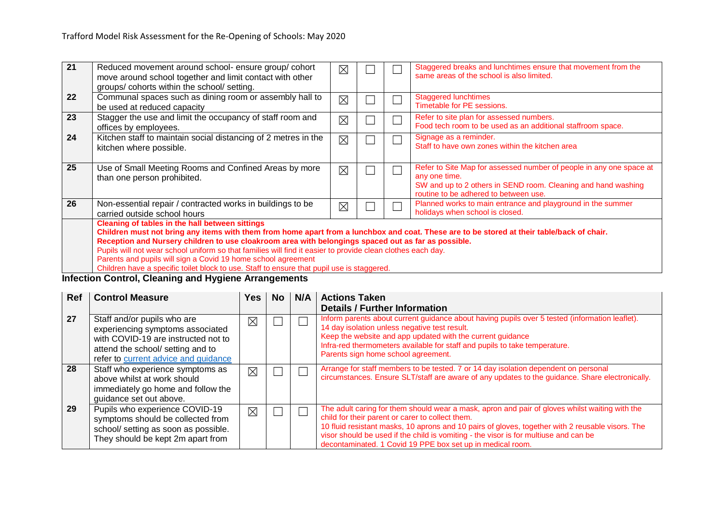| 21 | Reduced movement around school- ensure group/cohort<br>move around school together and limit contact with other<br>groups/cohorts within the school/setting.                                                                                                                                                                                                                                                                                                                                                                                                                              | $\times$    |  |  | Staggered breaks and lunchtimes ensure that movement from the<br>same areas of the school is also limited.                                                                                     |  |  |  |  |  |  |  |
|----|-------------------------------------------------------------------------------------------------------------------------------------------------------------------------------------------------------------------------------------------------------------------------------------------------------------------------------------------------------------------------------------------------------------------------------------------------------------------------------------------------------------------------------------------------------------------------------------------|-------------|--|--|------------------------------------------------------------------------------------------------------------------------------------------------------------------------------------------------|--|--|--|--|--|--|--|
| 22 | Communal spaces such as dining room or assembly hall to<br>be used at reduced capacity                                                                                                                                                                                                                                                                                                                                                                                                                                                                                                    | $\boxtimes$ |  |  | <b>Staggered lunchtimes</b><br>Timetable for PE sessions.                                                                                                                                      |  |  |  |  |  |  |  |
| 23 | Stagger the use and limit the occupancy of staff room and<br>offices by employees.                                                                                                                                                                                                                                                                                                                                                                                                                                                                                                        | ⊠           |  |  | Refer to site plan for assessed numbers.<br>Food tech room to be used as an additional staffroom space.                                                                                        |  |  |  |  |  |  |  |
| 24 | Kitchen staff to maintain social distancing of 2 metres in the<br>kitchen where possible.                                                                                                                                                                                                                                                                                                                                                                                                                                                                                                 | $\times$    |  |  | Signage as a reminder.<br>Staff to have own zones within the kitchen area                                                                                                                      |  |  |  |  |  |  |  |
| 25 | Use of Small Meeting Rooms and Confined Areas by more<br>than one person prohibited.                                                                                                                                                                                                                                                                                                                                                                                                                                                                                                      | ⊠           |  |  | Refer to Site Map for assessed number of people in any one space at<br>any one time.<br>SW and up to 2 others in SEND room. Cleaning and hand washing<br>routine to be adhered to between use. |  |  |  |  |  |  |  |
| 26 | Non-essential repair / contracted works in buildings to be<br>carried outside school hours                                                                                                                                                                                                                                                                                                                                                                                                                                                                                                | $\times$    |  |  | Planned works to main entrance and playground in the summer<br>holidays when school is closed.                                                                                                 |  |  |  |  |  |  |  |
|    | <b>Cleaning of tables in the hall between sittings</b><br>Children must not bring any items with them from home apart from a lunchbox and coat. These are to be stored at their table/back of chair.<br>Reception and Nursery children to use cloakroom area with belongings spaced out as far as possible.<br>Pupils will not wear school uniform so that families will find it easier to provide clean clothes each day.<br>Parents and pupils will sign a Covid 19 home school agreement<br>Children have a specific toilet block to use. Staff to ensure that pupil use is staggered. |             |  |  |                                                                                                                                                                                                |  |  |  |  |  |  |  |

#### **Infection Control, Cleaning and Hygiene Arrangements**

| <b>Ref</b> | <b>Control Measure</b>                                                                                                                                                              | Yes         | No. | N/A | <b>Actions Taken</b><br><b>Details / Further Information</b>                                                                                                                                                                                                                                                                                                                                                 |
|------------|-------------------------------------------------------------------------------------------------------------------------------------------------------------------------------------|-------------|-----|-----|--------------------------------------------------------------------------------------------------------------------------------------------------------------------------------------------------------------------------------------------------------------------------------------------------------------------------------------------------------------------------------------------------------------|
| 27         | Staff and/or pupils who are<br>experiencing symptoms associated<br>with COVID-19 are instructed not to<br>attend the school/ setting and to<br>refer to current advice and guidance | $\boxtimes$ |     | Π   | Inform parents about current guidance about having pupils over 5 tested (information leaflet).<br>14 day isolation unless negative test result.<br>Keep the website and app updated with the current guidance<br>Infra-red thermometers available for staff and pupils to take temperature.<br>Parents sign home school agreement.                                                                           |
| 28         | Staff who experience symptoms as<br>above whilst at work should<br>immediately go home and follow the<br>guidance set out above.                                                    | $\times$    |     |     | Arrange for staff members to be tested. 7 or 14 day isolation dependent on personal<br>circumstances. Ensure SLT/staff are aware of any updates to the guidance. Share electronically.                                                                                                                                                                                                                       |
| 29         | Pupils who experience COVID-19<br>symptoms should be collected from<br>school/ setting as soon as possible.<br>They should be kept 2m apart from                                    | $\times$    |     |     | The adult caring for them should wear a mask, apron and pair of gloves whilst waiting with the<br>child for their parent or carer to collect them.<br>10 fluid resistant masks, 10 aprons and 10 pairs of gloves, together with 2 reusable visors. The<br>visor should be used if the child is vomiting - the visor is for multiuse and can be<br>decontaminated. 1 Covid 19 PPE box set up in medical room. |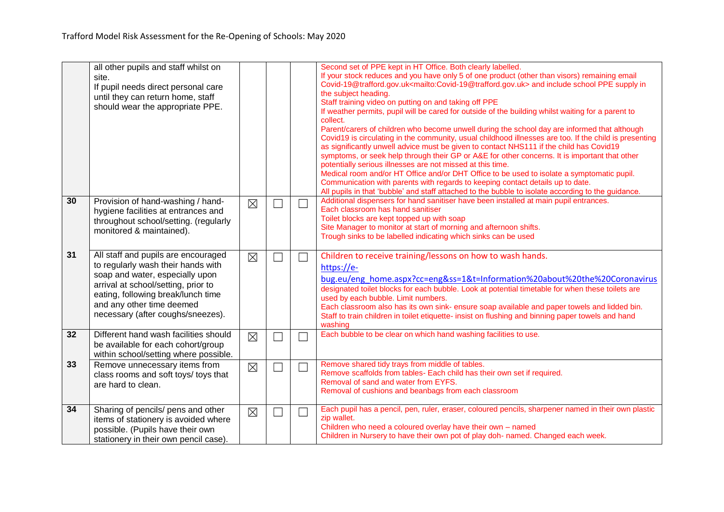|    | all other pupils and staff whilst on<br>site.<br>If pupil needs direct personal care<br>until they can return home, staff<br>should wear the appropriate PPE.                                                                                               |             |        |        | Second set of PPE kept in HT Office. Both clearly labelled.<br>If your stock reduces and you have only 5 of one product (other than visors) remaining email<br>Covid-19@trafford.gov.uk <mailto:covid-19@trafford.gov.uk> and include school PPE supply in<br/>the subject heading.<br/>Staff training video on putting on and taking off PPE<br/>If weather permits, pupil will be cared for outside of the building whilst waiting for a parent to<br/>collect.<br/>Parent/carers of children who become unwell during the school day are informed that although<br/>Covid19 is circulating in the community, usual childhood illnesses are too. If the child is presenting<br/>as significantly unwell advice must be given to contact NHS111 if the child has Covid19<br/>symptoms, or seek help through their GP or A&amp;E for other concerns. It is important that other<br/>potentially serious illnesses are not missed at this time.<br/>Medical room and/or HT Office and/or DHT Office to be used to isolate a symptomatic pupil.<br/>Communication with parents with regards to keeping contact details up to date.<br/>All pupils in that 'bubble' and staff attached to the bubble to isolate according to the guidance.</mailto:covid-19@trafford.gov.uk> |
|----|-------------------------------------------------------------------------------------------------------------------------------------------------------------------------------------------------------------------------------------------------------------|-------------|--------|--------|---------------------------------------------------------------------------------------------------------------------------------------------------------------------------------------------------------------------------------------------------------------------------------------------------------------------------------------------------------------------------------------------------------------------------------------------------------------------------------------------------------------------------------------------------------------------------------------------------------------------------------------------------------------------------------------------------------------------------------------------------------------------------------------------------------------------------------------------------------------------------------------------------------------------------------------------------------------------------------------------------------------------------------------------------------------------------------------------------------------------------------------------------------------------------------------------------------------------------------------------------------------------------|
| 30 | Provision of hand-washing / hand-<br>hygiene facilities at entrances and<br>throughout school/setting. (regularly<br>monitored & maintained).                                                                                                               | $\boxtimes$ |        | $\Box$ | Additional dispensers for hand sanitiser have been installed at main pupil entrances.<br>Each classroom has hand sanitiser<br>Toilet blocks are kept topped up with soap<br>Site Manager to monitor at start of morning and afternoon shifts.<br>Trough sinks to be labelled indicating which sinks can be used                                                                                                                                                                                                                                                                                                                                                                                                                                                                                                                                                                                                                                                                                                                                                                                                                                                                                                                                                           |
| 31 | All staff and pupils are encouraged<br>to regularly wash their hands with<br>soap and water, especially upon<br>arrival at school/setting, prior to<br>eating, following break/lunch time<br>and any other time deemed<br>necessary (after coughs/sneezes). | $\boxtimes$ | 囗      | $\Box$ | Children to receive training/lessons on how to wash hands.<br>https://e-<br>bug.eu/eng home.aspx?cc=eng&ss=1&t=Information%20about%20the%20Coronavirus<br>designated toilet blocks for each bubble. Look at potential timetable for when these toilets are<br>used by each bubble. Limit numbers.<br>Each classroom also has its own sink- ensure soap available and paper towels and lidded bin.<br>Staff to train children in toilet etiquette- insist on flushing and binning paper towels and hand<br>washing                                                                                                                                                                                                                                                                                                                                                                                                                                                                                                                                                                                                                                                                                                                                                         |
| 32 | Different hand wash facilities should<br>be available for each cohort/group<br>within school/setting where possible.                                                                                                                                        | $\boxtimes$ | $\Box$ | ┓      | Each bubble to be clear on which hand washing facilities to use.                                                                                                                                                                                                                                                                                                                                                                                                                                                                                                                                                                                                                                                                                                                                                                                                                                                                                                                                                                                                                                                                                                                                                                                                          |
| 33 | Remove unnecessary items from<br>class rooms and soft toys/ toys that<br>are hard to clean.                                                                                                                                                                 | $\boxtimes$ | Ξ      | $\Box$ | Remove shared tidy trays from middle of tables.<br>Remove scaffolds from tables- Each child has their own set if required.<br>Removal of sand and water from EYFS.<br>Removal of cushions and beanbags from each classroom                                                                                                                                                                                                                                                                                                                                                                                                                                                                                                                                                                                                                                                                                                                                                                                                                                                                                                                                                                                                                                                |
| 34 | Sharing of pencils/ pens and other<br>items of stationery is avoided where<br>possible. (Pupils have their own<br>stationery in their own pencil case).                                                                                                     | $\boxtimes$ |        | ×.     | Each pupil has a pencil, pen, ruler, eraser, coloured pencils, sharpener named in their own plastic<br>zip wallet.<br>Children who need a coloured overlay have their own - named<br>Children in Nursery to have their own pot of play doh- named. Changed each week.                                                                                                                                                                                                                                                                                                                                                                                                                                                                                                                                                                                                                                                                                                                                                                                                                                                                                                                                                                                                     |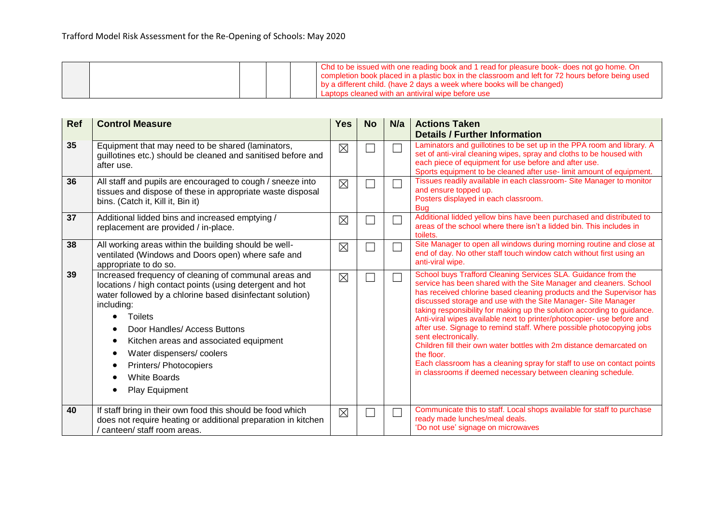|  |  | . Chd to be issued with one reading book and 1 read for pleasure book- does not go home. On<br>completion book placed in a plastic box in the classroom and left for 72 hours before being used |
|--|--|-------------------------------------------------------------------------------------------------------------------------------------------------------------------------------------------------|
|  |  | by a different child. (have 2 days a week where books will be changed)                                                                                                                          |
|  |  | Laptops cleaned with an antiviral wipe before use                                                                                                                                               |

| <b>Ref</b> | <b>Control Measure</b>                                                                                                                                                                                                                                                                                                                                                                                                   | <b>Yes</b>  | <b>No</b> | N/a | <b>Actions Taken</b>                                                                                                                                                                                                                                                                                                                                                                                                                                                                                                                                                                                                                                                                                                                                              |
|------------|--------------------------------------------------------------------------------------------------------------------------------------------------------------------------------------------------------------------------------------------------------------------------------------------------------------------------------------------------------------------------------------------------------------------------|-------------|-----------|-----|-------------------------------------------------------------------------------------------------------------------------------------------------------------------------------------------------------------------------------------------------------------------------------------------------------------------------------------------------------------------------------------------------------------------------------------------------------------------------------------------------------------------------------------------------------------------------------------------------------------------------------------------------------------------------------------------------------------------------------------------------------------------|
|            |                                                                                                                                                                                                                                                                                                                                                                                                                          |             |           |     | <b>Details / Further Information</b>                                                                                                                                                                                                                                                                                                                                                                                                                                                                                                                                                                                                                                                                                                                              |
| 35         | Equipment that may need to be shared (laminators,<br>guillotines etc.) should be cleaned and sanitised before and<br>after use.                                                                                                                                                                                                                                                                                          | $\boxtimes$ |           |     | Laminators and guillotines to be set up in the PPA room and library. A<br>set of anti-viral cleaning wipes, spray and cloths to be housed with<br>each piece of equipment for use before and after use.<br>Sports equipment to be cleaned after use-limit amount of equipment.                                                                                                                                                                                                                                                                                                                                                                                                                                                                                    |
| 36         | All staff and pupils are encouraged to cough / sneeze into<br>tissues and dispose of these in appropriate waste disposal<br>bins. (Catch it, Kill it, Bin it)                                                                                                                                                                                                                                                            | $\boxtimes$ |           |     | Tissues readily available in each classroom- Site Manager to monitor<br>and ensure topped up.<br>Posters displayed in each classroom.<br><b>Bug</b>                                                                                                                                                                                                                                                                                                                                                                                                                                                                                                                                                                                                               |
| 37         | Additional lidded bins and increased emptying /<br>replacement are provided / in-place.                                                                                                                                                                                                                                                                                                                                  | $\boxtimes$ |           |     | Additional lidded yellow bins have been purchased and distributed to<br>areas of the school where there isn't a lidded bin. This includes in<br>toilets.                                                                                                                                                                                                                                                                                                                                                                                                                                                                                                                                                                                                          |
| 38         | All working areas within the building should be well-<br>ventilated (Windows and Doors open) where safe and<br>appropriate to do so.                                                                                                                                                                                                                                                                                     | $\boxtimes$ |           |     | Site Manager to open all windows during morning routine and close at<br>end of day. No other staff touch window catch without first using an<br>anti-viral wipe.                                                                                                                                                                                                                                                                                                                                                                                                                                                                                                                                                                                                  |
| 39         | Increased frequency of cleaning of communal areas and<br>locations / high contact points (using detergent and hot<br>water followed by a chlorine based disinfectant solution)<br>including:<br><b>Toilets</b><br>Door Handles/ Access Buttons<br>Kitchen areas and associated equipment<br>$\bullet$<br>Water dispensers/coolers<br>$\bullet$<br><b>Printers/ Photocopiers</b><br><b>White Boards</b><br>Play Equipment | $\boxtimes$ |           |     | School buys Trafford Cleaning Services SLA. Guidance from the<br>service has been shared with the Site Manager and cleaners. School<br>has received chlorine based cleaning products and the Supervisor has<br>discussed storage and use with the Site Manager- Site Manager<br>taking responsibility for making up the solution according to guidance.<br>Anti-viral wipes available next to printer/photocopier- use before and<br>after use. Signage to remind staff. Where possible photocopying jobs<br>sent electronically.<br>Children fill their own water bottles with 2m distance demarcated on<br>the floor.<br>Each classroom has a cleaning spray for staff to use on contact points<br>in classrooms if deemed necessary between cleaning schedule. |
| 40         | If staff bring in their own food this should be food which<br>does not require heating or additional preparation in kitchen<br>canteen/ staff room areas.                                                                                                                                                                                                                                                                | $\boxtimes$ |           |     | Communicate this to staff. Local shops available for staff to purchase<br>ready made lunches/meal deals.<br>'Do not use' signage on microwaves                                                                                                                                                                                                                                                                                                                                                                                                                                                                                                                                                                                                                    |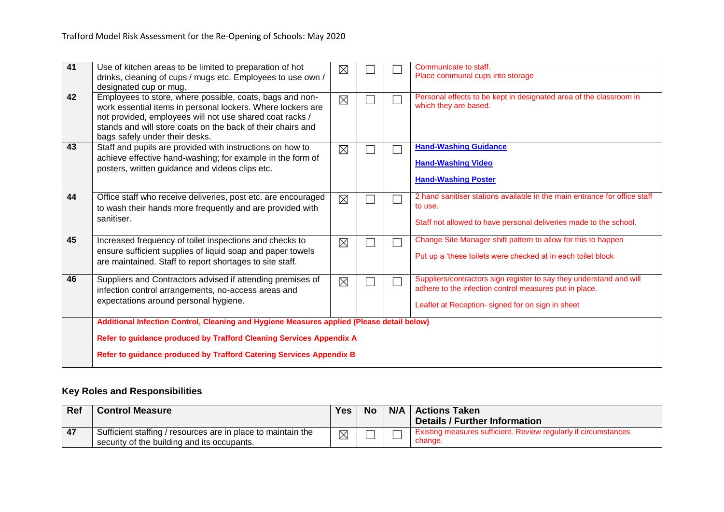| 41 | Use of kitchen areas to be limited to preparation of hot<br>drinks, cleaning of cups / mugs etc. Employees to use own /<br>designated cup or mug.                                                                                                                                    | $\boxtimes$ |  |  | Communicate to staff.<br>Place communal cups into storage                                                                                                                          |  |  |
|----|--------------------------------------------------------------------------------------------------------------------------------------------------------------------------------------------------------------------------------------------------------------------------------------|-------------|--|--|------------------------------------------------------------------------------------------------------------------------------------------------------------------------------------|--|--|
| 42 | Employees to store, where possible, coats, bags and non-<br>work essential items in personal lockers. Where lockers are<br>not provided, employees will not use shared coat racks /<br>stands and will store coats on the back of their chairs and<br>bags safely under their desks. | $\boxtimes$ |  |  | Personal effects to be kept in designated area of the classroom in<br>which they are based.                                                                                        |  |  |
| 43 | Staff and pupils are provided with instructions on how to<br>achieve effective hand-washing; for example in the form of<br>posters, written guidance and videos clips etc.                                                                                                           | $\boxtimes$ |  |  | <b>Hand-Washing Guidance</b><br><b>Hand-Washing Video</b><br><b>Hand-Washing Poster</b>                                                                                            |  |  |
| 44 | Office staff who receive deliveries, post etc. are encouraged<br>to wash their hands more frequently and are provided with<br>sanitiser.                                                                                                                                             | $\boxtimes$ |  |  | 2 hand sanitiser stations available in the main entrance for office staff<br>to use.<br>Staff not allowed to have personal deliveries made to the school.                          |  |  |
| 45 | Increased frequency of toilet inspections and checks to<br>ensure sufficient supplies of liquid soap and paper towels<br>are maintained. Staff to report shortages to site staff.                                                                                                    | $\boxtimes$ |  |  | Change Site Manager shift pattern to allow for this to happen<br>Put up a 'these toilets were checked at in each toilet block                                                      |  |  |
| 46 | Suppliers and Contractors advised if attending premises of<br>infection control arrangements, no-access areas and<br>expectations around personal hygiene.                                                                                                                           | $\boxtimes$ |  |  | Suppliers/contractors sign register to say they understand and will<br>adhere to the infection control measures put in place.<br>Leaflet at Reception- signed for on sign in sheet |  |  |
|    | Additional Infection Control, Cleaning and Hygiene Measures applied (Please detail below)                                                                                                                                                                                            |             |  |  |                                                                                                                                                                                    |  |  |
|    | Refer to guidance produced by Trafford Cleaning Services Appendix A                                                                                                                                                                                                                  |             |  |  |                                                                                                                                                                                    |  |  |
|    | Refer to guidance produced by Trafford Catering Services Appendix B                                                                                                                                                                                                                  |             |  |  |                                                                                                                                                                                    |  |  |

# **Key Roles and Responsibilities**

| Ref | <b>Control Measure</b>                                       | <b>Yes</b>  | <b>No</b> | N/A   Actions Taken                                                    |  |
|-----|--------------------------------------------------------------|-------------|-----------|------------------------------------------------------------------------|--|
|     |                                                              |             |           | Details / Further Information                                          |  |
| 47  | Sufficient staffing / resources are in place to maintain the | $\boxtimes$ |           | <b>Existing measures sufficient. Review regularly if circumstances</b> |  |
|     | security of the building and its occupants.                  |             |           | change.                                                                |  |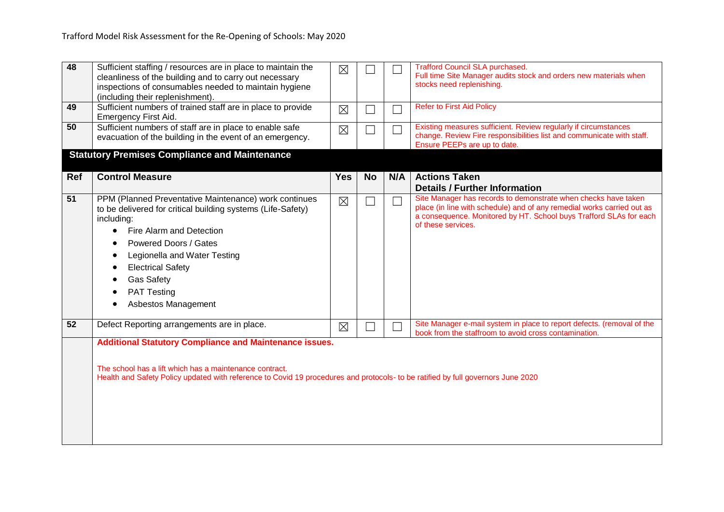| 48         | Sufficient staffing / resources are in place to maintain the<br>cleanliness of the building and to carry out necessary<br>inspections of consumables needed to maintain hygiene<br>(including their replenishment).                                                                                                   | $\boxtimes$ |           |        | <b>Trafford Council SLA purchased.</b><br>Full time Site Manager audits stock and orders new materials when<br>stocks need replenishing.                                                                                             |  |  |
|------------|-----------------------------------------------------------------------------------------------------------------------------------------------------------------------------------------------------------------------------------------------------------------------------------------------------------------------|-------------|-----------|--------|--------------------------------------------------------------------------------------------------------------------------------------------------------------------------------------------------------------------------------------|--|--|
| 49         | Sufficient numbers of trained staff are in place to provide<br>Emergency First Aid.                                                                                                                                                                                                                                   | $\boxtimes$ |           | $\Box$ | <b>Refer to First Aid Policy</b>                                                                                                                                                                                                     |  |  |
| 50         | Sufficient numbers of staff are in place to enable safe<br>evacuation of the building in the event of an emergency.                                                                                                                                                                                                   | $\boxtimes$ |           |        | Existing measures sufficient. Review regularly if circumstances<br>change. Review Fire responsibilities list and communicate with staff.<br>Ensure PEEPs are up to date.                                                             |  |  |
|            | <b>Statutory Premises Compliance and Maintenance</b>                                                                                                                                                                                                                                                                  |             |           |        |                                                                                                                                                                                                                                      |  |  |
| <b>Ref</b> | <b>Control Measure</b>                                                                                                                                                                                                                                                                                                | <b>Yes</b>  | <b>No</b> | N/A    | <b>Actions Taken</b><br><b>Details / Further Information</b>                                                                                                                                                                         |  |  |
| 51         | PPM (Planned Preventative Maintenance) work continues<br>to be delivered for critical building systems (Life-Safety)<br>including:<br>Fire Alarm and Detection<br>Powered Doors / Gates<br>Legionella and Water Testing<br><b>Electrical Safety</b><br><b>Gas Safety</b><br><b>PAT Testing</b><br>Asbestos Management | $\boxtimes$ |           |        | Site Manager has records to demonstrate when checks have taken<br>place (in line with schedule) and of any remedial works carried out as<br>a consequence. Monitored by HT. School buys Trafford SLAs for each<br>of these services. |  |  |
| 52         | Defect Reporting arrangements are in place.                                                                                                                                                                                                                                                                           | $\boxtimes$ |           |        | Site Manager e-mail system in place to report defects. (removal of the<br>book from the staffroom to avoid cross contamination.                                                                                                      |  |  |
|            | <b>Additional Statutory Compliance and Maintenance issues.</b><br>The school has a lift which has a maintenance contract.<br>Health and Safety Policy updated with reference to Covid 19 procedures and protocols- to be ratified by full governors June 2020                                                         |             |           |        |                                                                                                                                                                                                                                      |  |  |